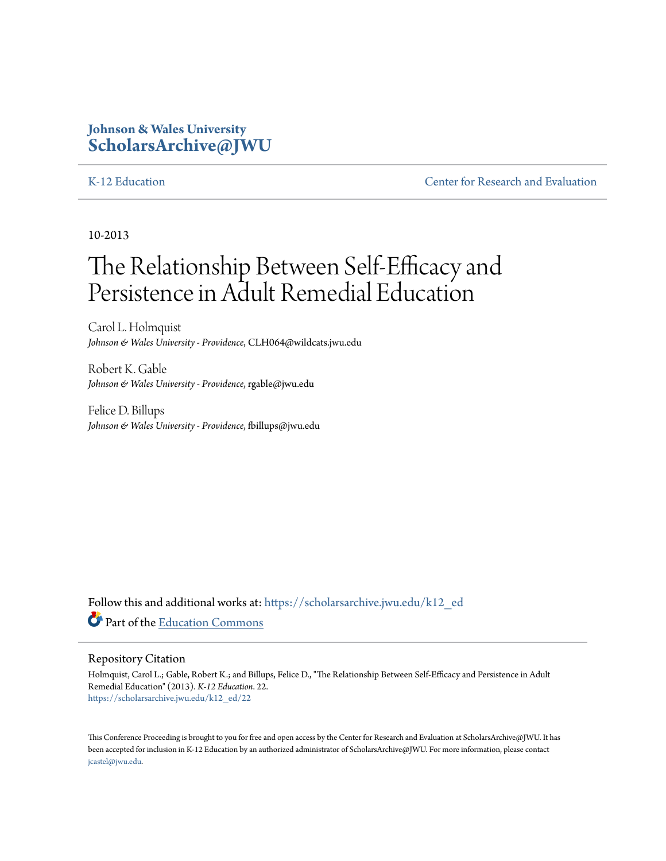# **Johnson & Wales University [ScholarsArchive@JWU](https://scholarsarchive.jwu.edu?utm_source=scholarsarchive.jwu.edu%2Fk12_ed%2F22&utm_medium=PDF&utm_campaign=PDFCoverPages)**

[K-12 Education](https://scholarsarchive.jwu.edu/k12_ed?utm_source=scholarsarchive.jwu.edu%2Fk12_ed%2F22&utm_medium=PDF&utm_campaign=PDFCoverPages) **[Center for Research and Evaluation](https://scholarsarchive.jwu.edu/research?utm_source=scholarsarchive.jwu.edu%2Fk12_ed%2F22&utm_medium=PDF&utm_campaign=PDFCoverPages)** 

10-2013

# The Relationship Between Self-Efficacy and Persistence in Adult Remedial Education

Carol L. Holmquist *Johnson & Wales University - Providence*, CLH064@wildcats.jwu.edu

Robert K. Gable *Johnson & Wales University - Providence*, rgable@jwu.edu

Felice D. Billups *Johnson & Wales University - Providence*, fbillups@jwu.edu

Follow this and additional works at: [https://scholarsarchive.jwu.edu/k12\\_ed](https://scholarsarchive.jwu.edu/k12_ed?utm_source=scholarsarchive.jwu.edu%2Fk12_ed%2F22&utm_medium=PDF&utm_campaign=PDFCoverPages) Part of the [Education Commons](http://network.bepress.com/hgg/discipline/784?utm_source=scholarsarchive.jwu.edu%2Fk12_ed%2F22&utm_medium=PDF&utm_campaign=PDFCoverPages)

#### Repository Citation

Holmquist, Carol L.; Gable, Robert K.; and Billups, Felice D., "The Relationship Between Self-Efficacy and Persistence in Adult Remedial Education" (2013). *K-12 Education*. 22. [https://scholarsarchive.jwu.edu/k12\\_ed/22](https://scholarsarchive.jwu.edu/k12_ed/22?utm_source=scholarsarchive.jwu.edu%2Fk12_ed%2F22&utm_medium=PDF&utm_campaign=PDFCoverPages)

This Conference Proceeding is brought to you for free and open access by the Center for Research and Evaluation at ScholarsArchive@JWU. It has been accepted for inclusion in K-12 Education by an authorized administrator of ScholarsArchive@JWU. For more information, please contact [jcastel@jwu.edu.](mailto:jcastel@jwu.edu)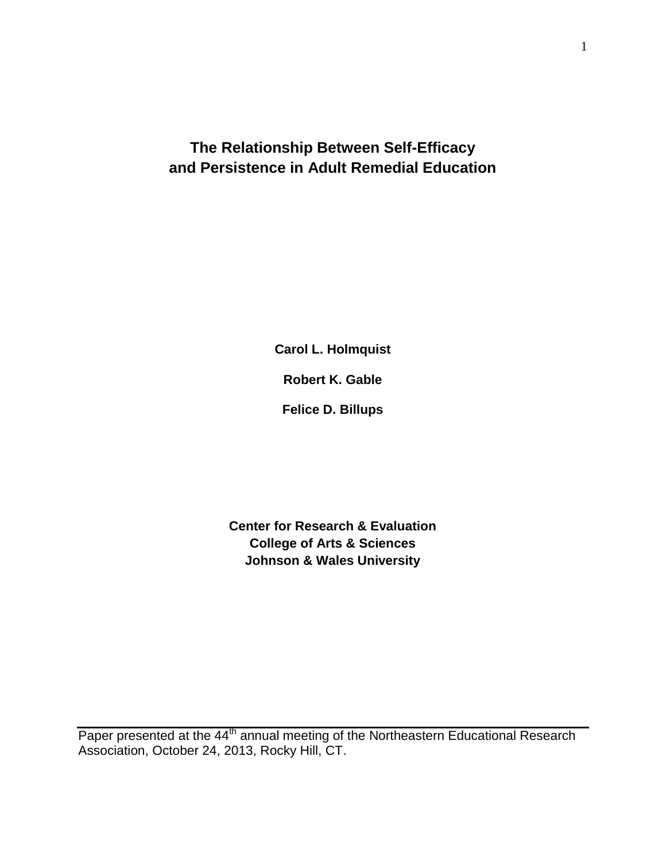# **The Relationship Between Self-Efficacy and Persistence in Adult Remedial Education**

**Carol L. Holmquist**

**Robert K. Gable**

**Felice D. Billups**

**Center for Research & Evaluation College of Arts & Sciences Johnson & Wales University**

Paper presented at the 44<sup>th</sup> annual meeting of the Northeastern Educational Research Association, October 24, 2013, Rocky Hill, CT.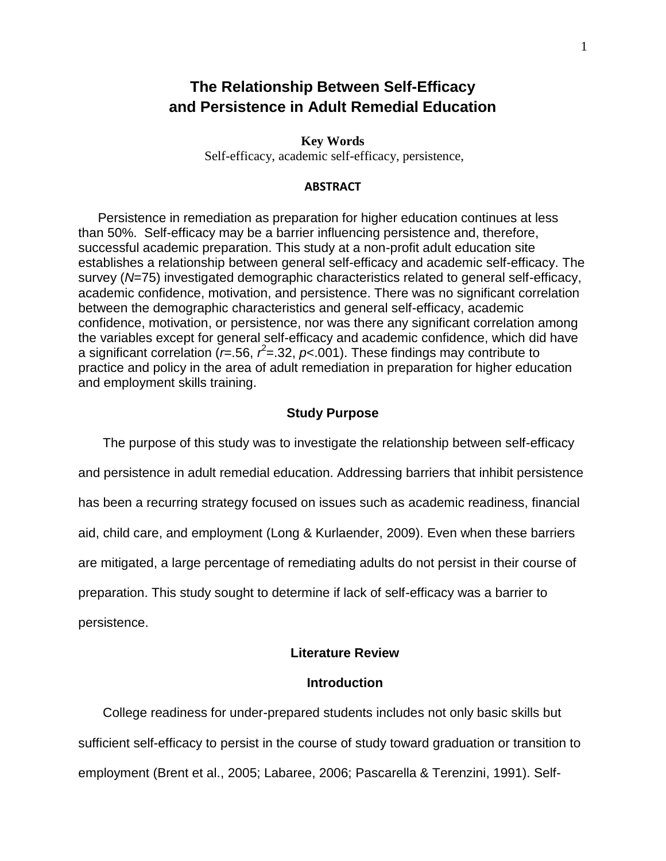# **The Relationship Between Self-Efficacy and Persistence in Adult Remedial Education**

**Key Words** Self-efficacy, academic self-efficacy, persistence,

#### **ABSTRACT**

Persistence in remediation as preparation for higher education continues at less than 50%. Self-efficacy may be a barrier influencing persistence and, therefore, successful academic preparation. This study at a non-profit adult education site establishes a relationship between general self-efficacy and academic self-efficacy. The survey (*N*=75) investigated demographic characteristics related to general self-efficacy, academic confidence, motivation, and persistence. There was no significant correlation between the demographic characteristics and general self-efficacy, academic confidence, motivation, or persistence, nor was there any significant correlation among the variables except for general self-efficacy and academic confidence, which did have a significant correlation ( $r = .56$ ,  $r^2 = .32$ ,  $p < .001$ ). These findings may contribute to practice and policy in the area of adult remediation in preparation for higher education and employment skills training.

#### **Study Purpose**

The purpose of this study was to investigate the relationship between self-efficacy and persistence in adult remedial education. Addressing barriers that inhibit persistence has been a recurring strategy focused on issues such as academic readiness, financial aid, child care, and employment (Long & Kurlaender, 2009). Even when these barriers are mitigated, a large percentage of remediating adults do not persist in their course of preparation. This study sought to determine if lack of self-efficacy was a barrier to persistence.

#### **Literature Review**

### **Introduction**

College readiness for under-prepared students includes not only basic skills but sufficient self-efficacy to persist in the course of study toward graduation or transition to employment (Brent et al., 2005; Labaree, 2006; Pascarella & Terenzini, 1991). Self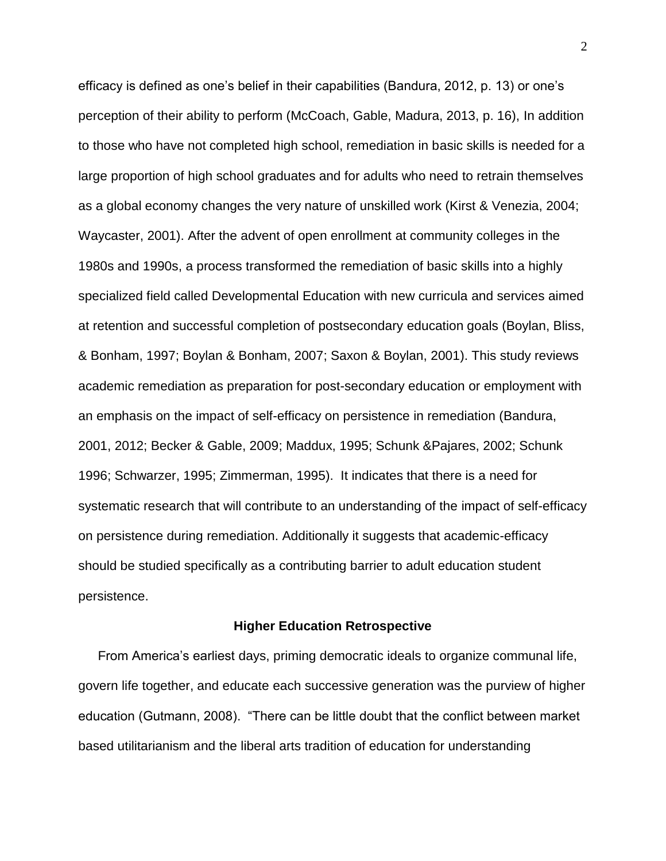efficacy is defined as one's belief in their capabilities (Bandura, 2012, p. 13) or one's perception of their ability to perform (McCoach, Gable, Madura, 2013, p. 16), In addition to those who have not completed high school, remediation in basic skills is needed for a large proportion of high school graduates and for adults who need to retrain themselves as a global economy changes the very nature of unskilled work (Kirst & Venezia, 2004; Waycaster, 2001). After the advent of open enrollment at community colleges in the 1980s and 1990s, a process transformed the remediation of basic skills into a highly specialized field called Developmental Education with new curricula and services aimed at retention and successful completion of postsecondary education goals (Boylan, Bliss, & Bonham, 1997; Boylan & Bonham, 2007; Saxon & Boylan, 2001). This study reviews academic remediation as preparation for post-secondary education or employment with an emphasis on the impact of self-efficacy on persistence in remediation (Bandura, 2001, 2012; Becker & Gable, 2009; Maddux, 1995; Schunk &Pajares, 2002; Schunk 1996; Schwarzer, 1995; Zimmerman, 1995). It indicates that there is a need for systematic research that will contribute to an understanding of the impact of self-efficacy on persistence during remediation. Additionally it suggests that academic-efficacy should be studied specifically as a contributing barrier to adult education student persistence.

#### **Higher Education Retrospective**

From America's earliest days, priming democratic ideals to organize communal life, govern life together, and educate each successive generation was the purview of higher education (Gutmann, 2008). "There can be little doubt that the conflict between market based utilitarianism and the liberal arts tradition of education for understanding

2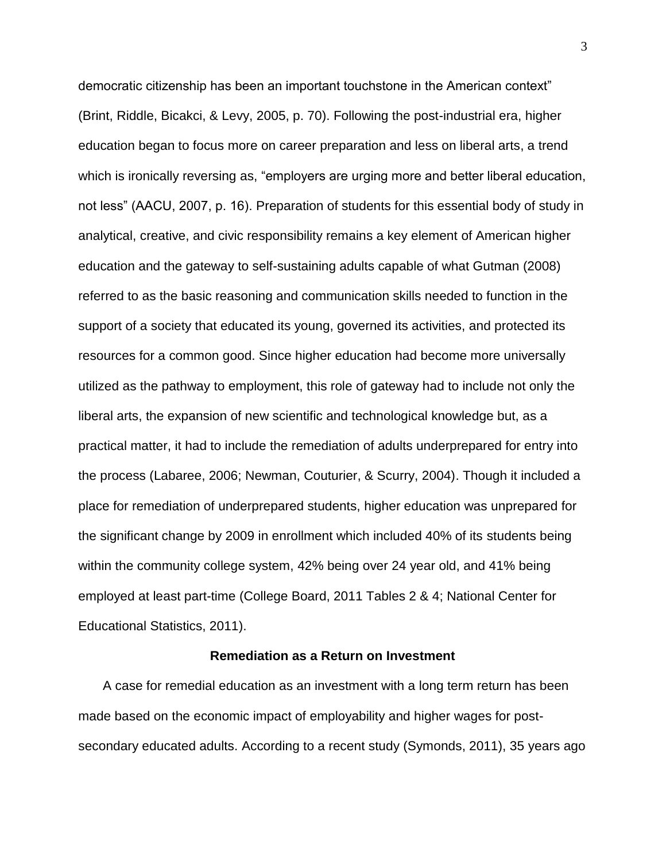democratic citizenship has been an important touchstone in the American context" (Brint, Riddle, Bicakci, & Levy, 2005, p. 70). Following the post-industrial era, higher education began to focus more on career preparation and less on liberal arts, a trend which is ironically reversing as, "employers are urging more and better liberal education, not less" (AACU, 2007, p. 16). Preparation of students for this essential body of study in analytical, creative, and civic responsibility remains a key element of American higher education and the gateway to self-sustaining adults capable of what Gutman (2008) referred to as the basic reasoning and communication skills needed to function in the support of a society that educated its young, governed its activities, and protected its resources for a common good. Since higher education had become more universally utilized as the pathway to employment, this role of gateway had to include not only the liberal arts, the expansion of new scientific and technological knowledge but, as a practical matter, it had to include the remediation of adults underprepared for entry into the process (Labaree, 2006; Newman, Couturier, & Scurry, 2004). Though it included a place for remediation of underprepared students, higher education was unprepared for the significant change by 2009 in enrollment which included 40% of its students being within the community college system, 42% being over 24 year old, and 41% being employed at least part-time (College Board, 2011 Tables 2 & 4; National Center for Educational Statistics, 2011).

#### **Remediation as a Return on Investment**

A case for remedial education as an investment with a long term return has been made based on the economic impact of employability and higher wages for postsecondary educated adults. According to a recent study (Symonds, 2011), 35 years ago

3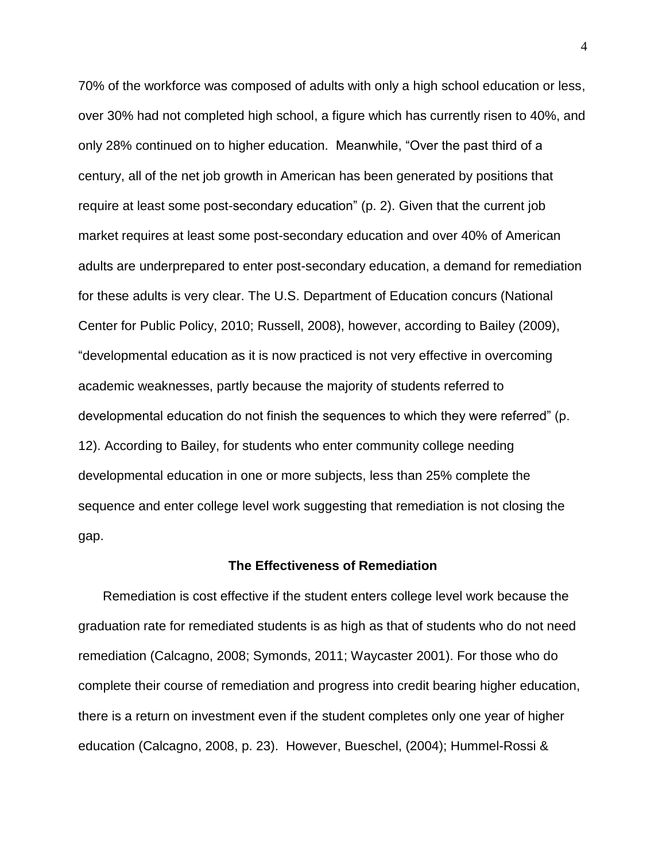70% of the workforce was composed of adults with only a high school education or less, over 30% had not completed high school, a figure which has currently risen to 40%, and only 28% continued on to higher education. Meanwhile, "Over the past third of a century, all of the net job growth in American has been generated by positions that require at least some post-secondary education" (p. 2). Given that the current job market requires at least some post-secondary education and over 40% of American adults are underprepared to enter post-secondary education, a demand for remediation for these adults is very clear. The U.S. Department of Education concurs (National Center for Public Policy, 2010; Russell, 2008), however, according to Bailey (2009), "developmental education as it is now practiced is not very effective in overcoming academic weaknesses, partly because the majority of students referred to developmental education do not finish the sequences to which they were referred" (p. 12). According to Bailey, for students who enter community college needing developmental education in one or more subjects, less than 25% complete the sequence and enter college level work suggesting that remediation is not closing the gap.

#### **The Effectiveness of Remediation**

Remediation is cost effective if the student enters college level work because the graduation rate for remediated students is as high as that of students who do not need remediation (Calcagno, 2008; Symonds, 2011; Waycaster 2001). For those who do complete their course of remediation and progress into credit bearing higher education, there is a return on investment even if the student completes only one year of higher education (Calcagno, 2008, p. 23). However, Bueschel, (2004); Hummel-Rossi &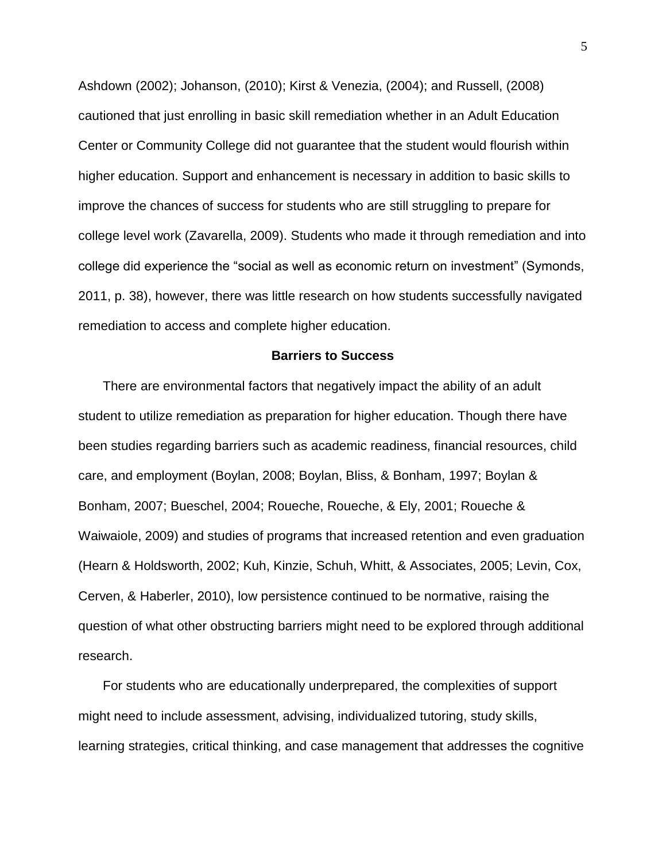Ashdown (2002); Johanson, (2010); Kirst & Venezia, (2004); and Russell, (2008) cautioned that just enrolling in basic skill remediation whether in an Adult Education Center or Community College did not guarantee that the student would flourish within higher education. Support and enhancement is necessary in addition to basic skills to improve the chances of success for students who are still struggling to prepare for college level work (Zavarella, 2009). Students who made it through remediation and into college did experience the "social as well as economic return on investment" (Symonds, 2011, p. 38), however, there was little research on how students successfully navigated remediation to access and complete higher education.

#### **Barriers to Success**

There are environmental factors that negatively impact the ability of an adult student to utilize remediation as preparation for higher education. Though there have been studies regarding barriers such as academic readiness, financial resources, child care, and employment (Boylan, 2008; Boylan, Bliss, & Bonham, 1997; Boylan & Bonham, 2007; Bueschel, 2004; Roueche, Roueche, & Ely, 2001; Roueche & Waiwaiole, 2009) and studies of programs that increased retention and even graduation (Hearn & Holdsworth, 2002; Kuh, Kinzie, Schuh, Whitt, & Associates, 2005; Levin, Cox, Cerven, & Haberler, 2010), low persistence continued to be normative, raising the question of what other obstructing barriers might need to be explored through additional research.

For students who are educationally underprepared, the complexities of support might need to include assessment, advising, individualized tutoring, study skills, learning strategies, critical thinking, and case management that addresses the cognitive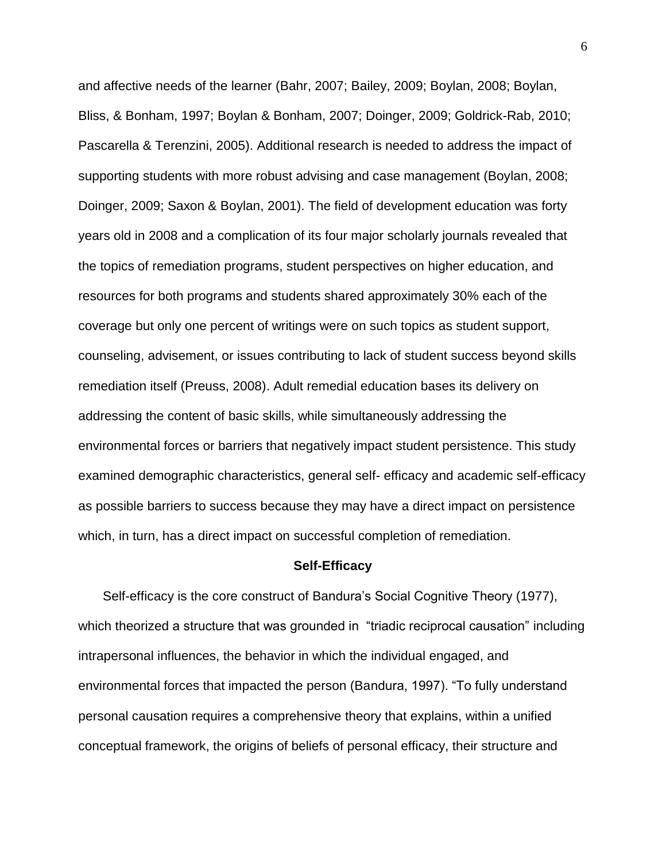and affective needs of the learner (Bahr, 2007; Bailey, 2009; Boylan, 2008; Boylan, Bliss, & Bonham, 1997; Boylan & Bonham, 2007; Doinger, 2009; Goldrick-Rab, 2010; Pascarella & Terenzini, 2005). Additional research is needed to address the impact of supporting students with more robust advising and case management (Boylan, 2008; Doinger, 2009; Saxon & Boylan, 2001). The field of development education was forty years old in 2008 and a complication of its four major scholarly journals revealed that the topics of remediation programs, student perspectives on higher education, and resources for both programs and students shared approximately 30% each of the coverage but only one percent of writings were on such topics as student support, counseling, advisement, or issues contributing to lack of student success beyond skills remediation itself (Preuss, 2008). Adult remedial education bases its delivery on addressing the content of basic skills, while simultaneously addressing the environmental forces or barriers that negatively impact student persistence. This study examined demographic characteristics, general self- efficacy and academic self-efficacy as possible barriers to success because they may have a direct impact on persistence which, in turn, has a direct impact on successful completion of remediation.

#### **Self-Efficacy**

Self-efficacy is the core construct of Bandura's Social Cognitive Theory (1977), which theorized a structure that was grounded in "triadic reciprocal causation" including intrapersonal influences, the behavior in which the individual engaged, and environmental forces that impacted the person (Bandura, 1997). "To fully understand personal causation requires a comprehensive theory that explains, within a unified conceptual framework, the origins of beliefs of personal efficacy, their structure and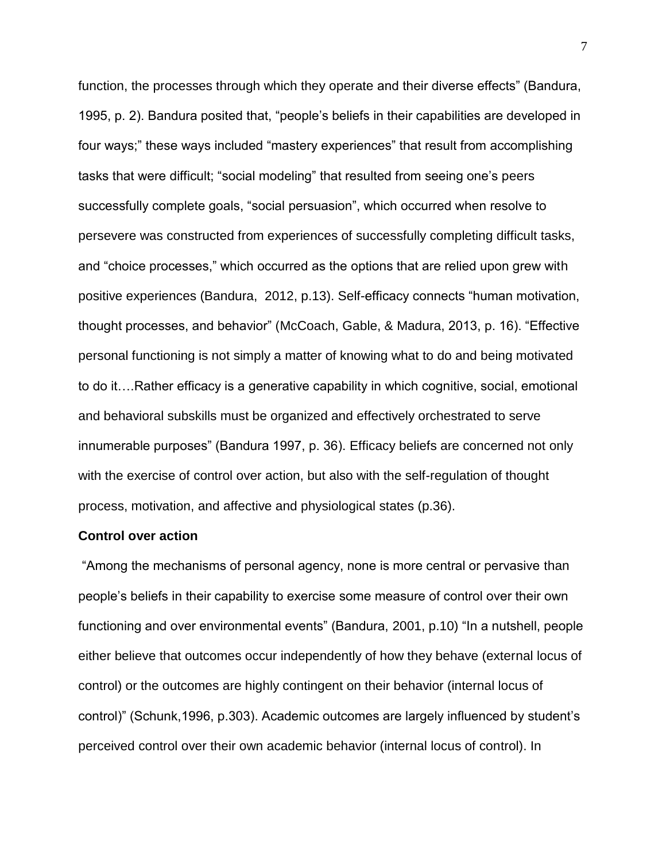function, the processes through which they operate and their diverse effects" (Bandura, 1995, p. 2). Bandura posited that, "people's beliefs in their capabilities are developed in four ways;" these ways included "mastery experiences" that result from accomplishing tasks that were difficult; "social modeling" that resulted from seeing one's peers successfully complete goals, "social persuasion", which occurred when resolve to persevere was constructed from experiences of successfully completing difficult tasks, and "choice processes," which occurred as the options that are relied upon grew with positive experiences (Bandura, 2012, p.13). Self-efficacy connects "human motivation, thought processes, and behavior" (McCoach, Gable, & Madura, 2013, p. 16). "Effective personal functioning is not simply a matter of knowing what to do and being motivated to do it….Rather efficacy is a generative capability in which cognitive, social, emotional and behavioral subskills must be organized and effectively orchestrated to serve innumerable purposes" (Bandura 1997, p. 36). Efficacy beliefs are concerned not only with the exercise of control over action, but also with the self-regulation of thought process, motivation, and affective and physiological states (p.36).

#### **Control over action**

"Among the mechanisms of personal agency, none is more central or pervasive than people's beliefs in their capability to exercise some measure of control over their own functioning and over environmental events" (Bandura, 2001, p.10) "In a nutshell, people either believe that outcomes occur independently of how they behave (external locus of control) or the outcomes are highly contingent on their behavior (internal locus of control)" (Schunk,1996, p.303). Academic outcomes are largely influenced by student's perceived control over their own academic behavior (internal locus of control). In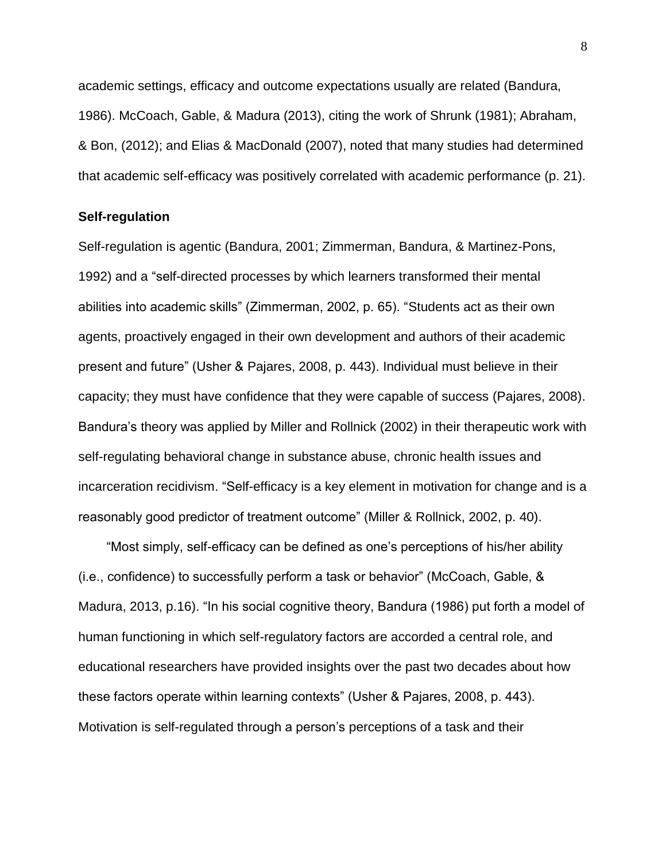academic settings, efficacy and outcome expectations usually are related (Bandura, 1986). McCoach, Gable, & Madura (2013), citing the work of Shrunk (1981); Abraham, & Bon, (2012); and Elias & MacDonald (2007), noted that many studies had determined that academic self-efficacy was positively correlated with academic performance (p. 21).

#### **Self-regulation**

Self-regulation is agentic (Bandura, 2001; Zimmerman, Bandura, & Martinez-Pons, 1992) and a "self-directed processes by which learners transformed their mental abilities into academic skills" (Zimmerman, 2002, p. 65). "Students act as their own agents, proactively engaged in their own development and authors of their academic present and future" (Usher & Pajares, 2008, p. 443). Individual must believe in their capacity; they must have confidence that they were capable of success (Pajares, 2008). Bandura's theory was applied by Miller and Rollnick (2002) in their therapeutic work with self-regulating behavioral change in substance abuse, chronic health issues and incarceration recidivism. "Self-efficacy is a key element in motivation for change and is a reasonably good predictor of treatment outcome" (Miller & Rollnick, 2002, p. 40).

"Most simply, self-efficacy can be defined as one's perceptions of his/her ability (i.e., confidence) to successfully perform a task or behavior" (McCoach, Gable, & Madura, 2013, p.16). "In his social cognitive theory, Bandura (1986) put forth a model of human functioning in which self-regulatory factors are accorded a central role, and educational researchers have provided insights over the past two decades about how these factors operate within learning contexts" (Usher & Pajares, 2008, p. 443). Motivation is self-regulated through a person's perceptions of a task and their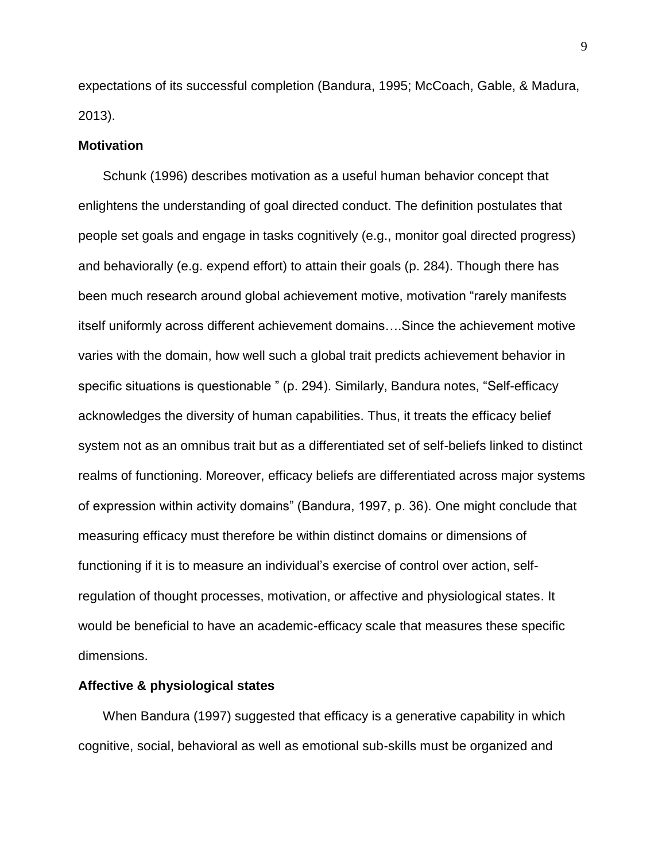expectations of its successful completion (Bandura, 1995; McCoach, Gable, & Madura, 2013).

#### **Motivation**

Schunk (1996) describes motivation as a useful human behavior concept that enlightens the understanding of goal directed conduct. The definition postulates that people set goals and engage in tasks cognitively (e.g., monitor goal directed progress) and behaviorally (e.g. expend effort) to attain their goals (p. 284). Though there has been much research around global achievement motive, motivation "rarely manifests itself uniformly across different achievement domains….Since the achievement motive varies with the domain, how well such a global trait predicts achievement behavior in specific situations is questionable " (p. 294). Similarly, Bandura notes, "Self-efficacy acknowledges the diversity of human capabilities. Thus, it treats the efficacy belief system not as an omnibus trait but as a differentiated set of self-beliefs linked to distinct realms of functioning. Moreover, efficacy beliefs are differentiated across major systems of expression within activity domains" (Bandura, 1997, p. 36). One might conclude that measuring efficacy must therefore be within distinct domains or dimensions of functioning if it is to measure an individual's exercise of control over action, selfregulation of thought processes, motivation, or affective and physiological states. It would be beneficial to have an academic-efficacy scale that measures these specific dimensions.

#### **Affective & physiological states**

When Bandura (1997) suggested that efficacy is a generative capability in which cognitive, social, behavioral as well as emotional sub-skills must be organized and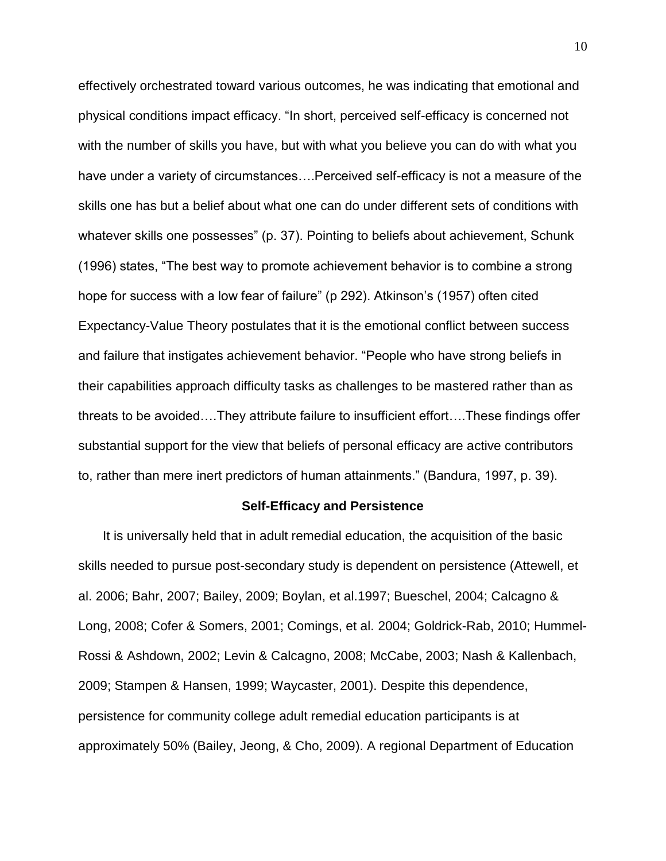effectively orchestrated toward various outcomes, he was indicating that emotional and physical conditions impact efficacy. "In short, perceived self-efficacy is concerned not with the number of skills you have, but with what you believe you can do with what you have under a variety of circumstances….Perceived self-efficacy is not a measure of the skills one has but a belief about what one can do under different sets of conditions with whatever skills one possesses" (p. 37). Pointing to beliefs about achievement, Schunk (1996) states, "The best way to promote achievement behavior is to combine a strong hope for success with a low fear of failure" (p 292). Atkinson's (1957) often cited Expectancy-Value Theory postulates that it is the emotional conflict between success and failure that instigates achievement behavior. "People who have strong beliefs in their capabilities approach difficulty tasks as challenges to be mastered rather than as threats to be avoided….They attribute failure to insufficient effort….These findings offer substantial support for the view that beliefs of personal efficacy are active contributors to, rather than mere inert predictors of human attainments." (Bandura, 1997, p. 39).

#### **Self-Efficacy and Persistence**

It is universally held that in adult remedial education, the acquisition of the basic skills needed to pursue post-secondary study is dependent on persistence (Attewell, et al. 2006; Bahr, 2007; Bailey, 2009; Boylan, et al.1997; Bueschel, 2004; Calcagno & Long, 2008; Cofer & Somers, 2001; Comings, et al. 2004; Goldrick-Rab, 2010; Hummel-Rossi & Ashdown, 2002; Levin & Calcagno, 2008; McCabe, 2003; Nash & Kallenbach, 2009; Stampen & Hansen, 1999; Waycaster, 2001). Despite this dependence, persistence for community college adult remedial education participants is at approximately 50% (Bailey, Jeong, & Cho, 2009). A regional Department of Education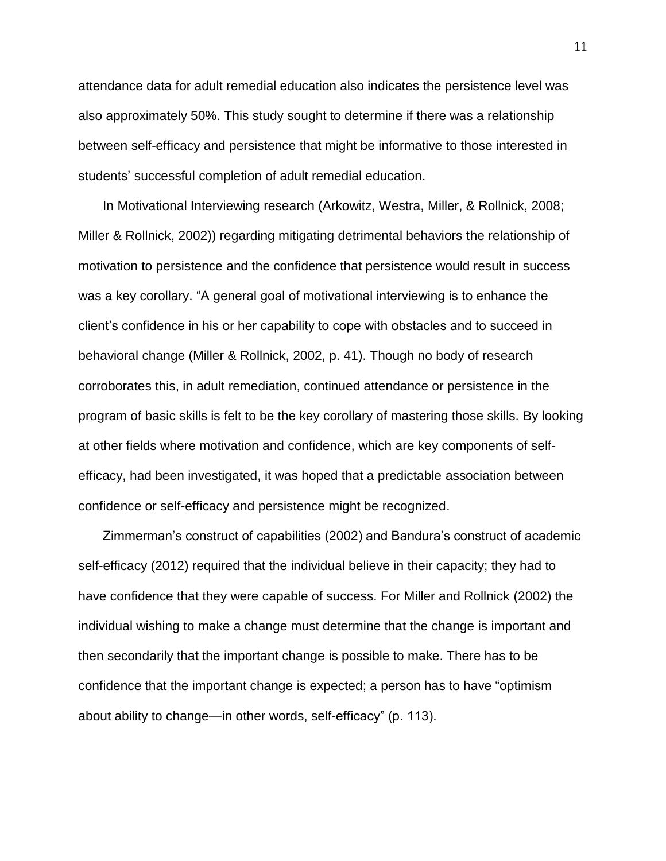attendance data for adult remedial education also indicates the persistence level was also approximately 50%. This study sought to determine if there was a relationship between self-efficacy and persistence that might be informative to those interested in students' successful completion of adult remedial education.

In Motivational Interviewing research (Arkowitz, Westra, Miller, & Rollnick, 2008; Miller & Rollnick, 2002)) regarding mitigating detrimental behaviors the relationship of motivation to persistence and the confidence that persistence would result in success was a key corollary. "A general goal of motivational interviewing is to enhance the client's confidence in his or her capability to cope with obstacles and to succeed in behavioral change (Miller & Rollnick, 2002, p. 41). Though no body of research corroborates this, in adult remediation, continued attendance or persistence in the program of basic skills is felt to be the key corollary of mastering those skills. By looking at other fields where motivation and confidence, which are key components of selfefficacy, had been investigated, it was hoped that a predictable association between confidence or self-efficacy and persistence might be recognized.

Zimmerman's construct of capabilities (2002) and Bandura's construct of academic self-efficacy (2012) required that the individual believe in their capacity; they had to have confidence that they were capable of success. For Miller and Rollnick (2002) the individual wishing to make a change must determine that the change is important and then secondarily that the important change is possible to make. There has to be confidence that the important change is expected; a person has to have "optimism about ability to change—in other words, self-efficacy" (p. 113).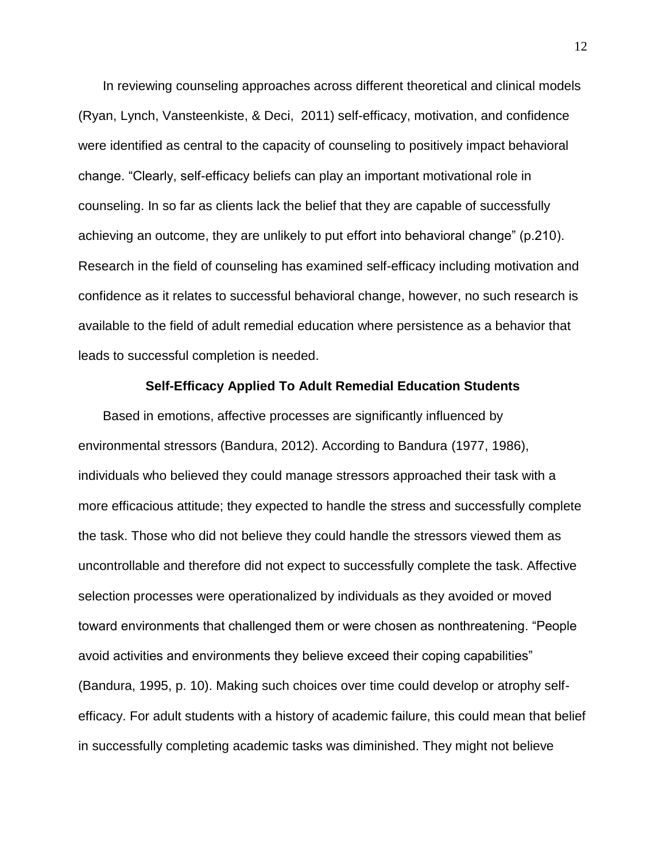In reviewing counseling approaches across different theoretical and clinical models (Ryan, Lynch, Vansteenkiste, & Deci, 2011) self-efficacy, motivation, and confidence were identified as central to the capacity of counseling to positively impact behavioral change. "Clearly, self-efficacy beliefs can play an important motivational role in counseling. In so far as clients lack the belief that they are capable of successfully achieving an outcome, they are unlikely to put effort into behavioral change" (p.210). Research in the field of counseling has examined self-efficacy including motivation and confidence as it relates to successful behavioral change, however, no such research is available to the field of adult remedial education where persistence as a behavior that leads to successful completion is needed.

#### **Self-Efficacy Applied To Adult Remedial Education Students**

Based in emotions, affective processes are significantly influenced by environmental stressors (Bandura, 2012). According to Bandura (1977, 1986), individuals who believed they could manage stressors approached their task with a more efficacious attitude; they expected to handle the stress and successfully complete the task. Those who did not believe they could handle the stressors viewed them as uncontrollable and therefore did not expect to successfully complete the task. Affective selection processes were operationalized by individuals as they avoided or moved toward environments that challenged them or were chosen as nonthreatening. "People avoid activities and environments they believe exceed their coping capabilities" (Bandura, 1995, p. 10). Making such choices over time could develop or atrophy selfefficacy. For adult students with a history of academic failure, this could mean that belief in successfully completing academic tasks was diminished. They might not believe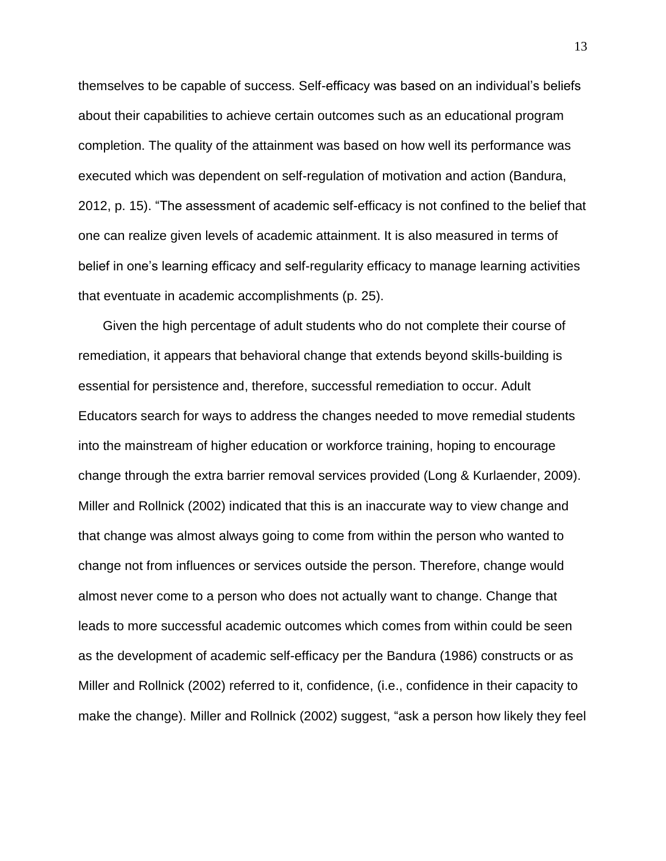themselves to be capable of success. Self-efficacy was based on an individual's beliefs about their capabilities to achieve certain outcomes such as an educational program completion. The quality of the attainment was based on how well its performance was executed which was dependent on self-regulation of motivation and action (Bandura, 2012, p. 15). "The assessment of academic self-efficacy is not confined to the belief that one can realize given levels of academic attainment. It is also measured in terms of belief in one's learning efficacy and self-regularity efficacy to manage learning activities that eventuate in academic accomplishments (p. 25).

Given the high percentage of adult students who do not complete their course of remediation, it appears that behavioral change that extends beyond skills-building is essential for persistence and, therefore, successful remediation to occur. Adult Educators search for ways to address the changes needed to move remedial students into the mainstream of higher education or workforce training, hoping to encourage change through the extra barrier removal services provided (Long & Kurlaender, 2009). Miller and Rollnick (2002) indicated that this is an inaccurate way to view change and that change was almost always going to come from within the person who wanted to change not from influences or services outside the person. Therefore, change would almost never come to a person who does not actually want to change. Change that leads to more successful academic outcomes which comes from within could be seen as the development of academic self-efficacy per the Bandura (1986) constructs or as Miller and Rollnick (2002) referred to it, confidence, (i.e., confidence in their capacity to make the change). Miller and Rollnick (2002) suggest, "ask a person how likely they feel

13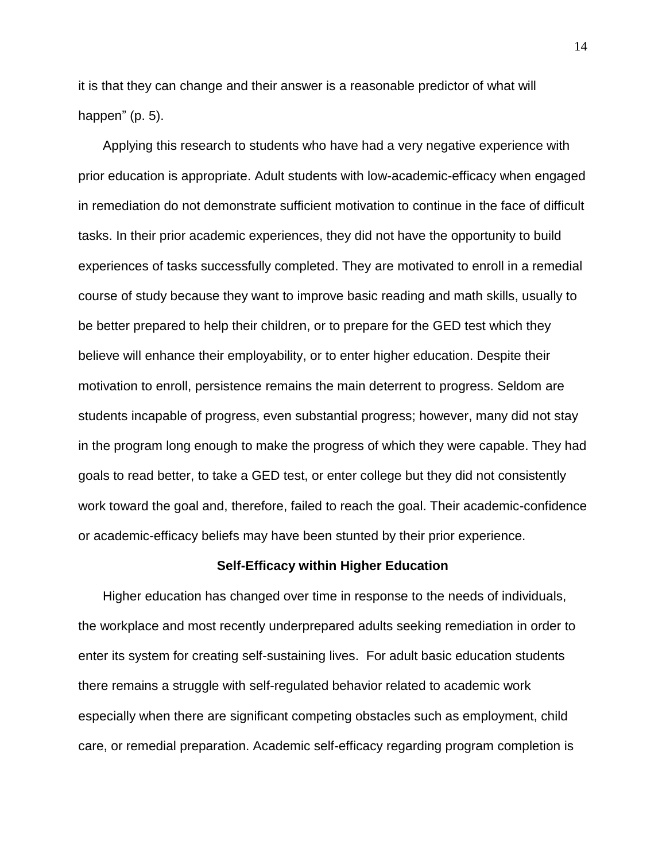it is that they can change and their answer is a reasonable predictor of what will happen" (p. 5).

Applying this research to students who have had a very negative experience with prior education is appropriate. Adult students with low-academic-efficacy when engaged in remediation do not demonstrate sufficient motivation to continue in the face of difficult tasks. In their prior academic experiences, they did not have the opportunity to build experiences of tasks successfully completed. They are motivated to enroll in a remedial course of study because they want to improve basic reading and math skills, usually to be better prepared to help their children, or to prepare for the GED test which they believe will enhance their employability, or to enter higher education. Despite their motivation to enroll, persistence remains the main deterrent to progress. Seldom are students incapable of progress, even substantial progress; however, many did not stay in the program long enough to make the progress of which they were capable. They had goals to read better, to take a GED test, or enter college but they did not consistently work toward the goal and, therefore, failed to reach the goal. Their academic-confidence or academic-efficacy beliefs may have been stunted by their prior experience.

#### **Self-Efficacy within Higher Education**

Higher education has changed over time in response to the needs of individuals, the workplace and most recently underprepared adults seeking remediation in order to enter its system for creating self-sustaining lives. For adult basic education students there remains a struggle with self-regulated behavior related to academic work especially when there are significant competing obstacles such as employment, child care, or remedial preparation. Academic self-efficacy regarding program completion is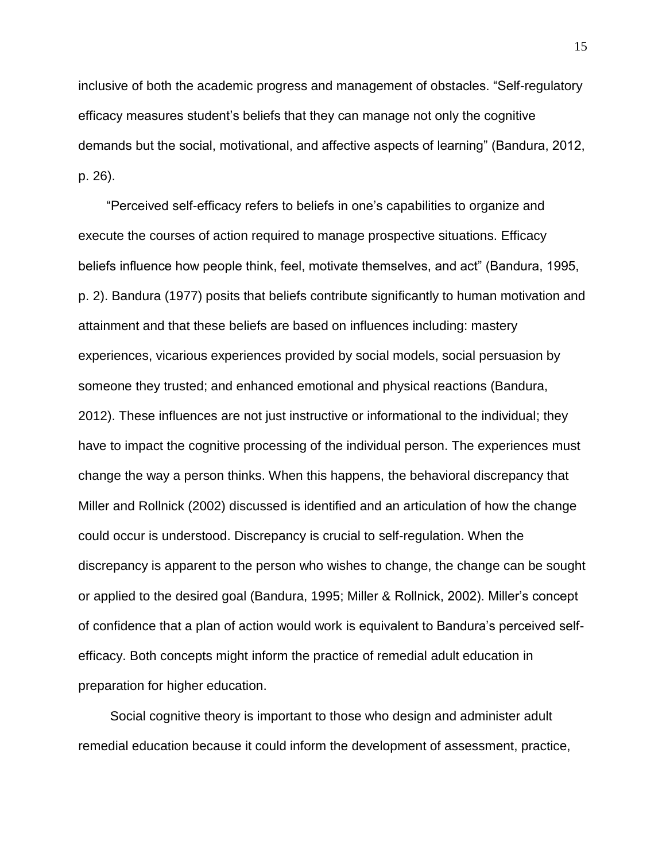inclusive of both the academic progress and management of obstacles. "Self-regulatory efficacy measures student's beliefs that they can manage not only the cognitive demands but the social, motivational, and affective aspects of learning" (Bandura, 2012, p. 26).

"Perceived self-efficacy refers to beliefs in one's capabilities to organize and execute the courses of action required to manage prospective situations. Efficacy beliefs influence how people think, feel, motivate themselves, and act" (Bandura, 1995, p. 2). Bandura (1977) posits that beliefs contribute significantly to human motivation and attainment and that these beliefs are based on influences including: mastery experiences, vicarious experiences provided by social models, social persuasion by someone they trusted; and enhanced emotional and physical reactions (Bandura, 2012). These influences are not just instructive or informational to the individual; they have to impact the cognitive processing of the individual person. The experiences must change the way a person thinks. When this happens, the behavioral discrepancy that Miller and Rollnick (2002) discussed is identified and an articulation of how the change could occur is understood. Discrepancy is crucial to self-regulation. When the discrepancy is apparent to the person who wishes to change, the change can be sought or applied to the desired goal (Bandura, 1995; Miller & Rollnick, 2002). Miller's concept of confidence that a plan of action would work is equivalent to Bandura's perceived selfefficacy. Both concepts might inform the practice of remedial adult education in preparation for higher education.

 Social cognitive theory is important to those who design and administer adult remedial education because it could inform the development of assessment, practice,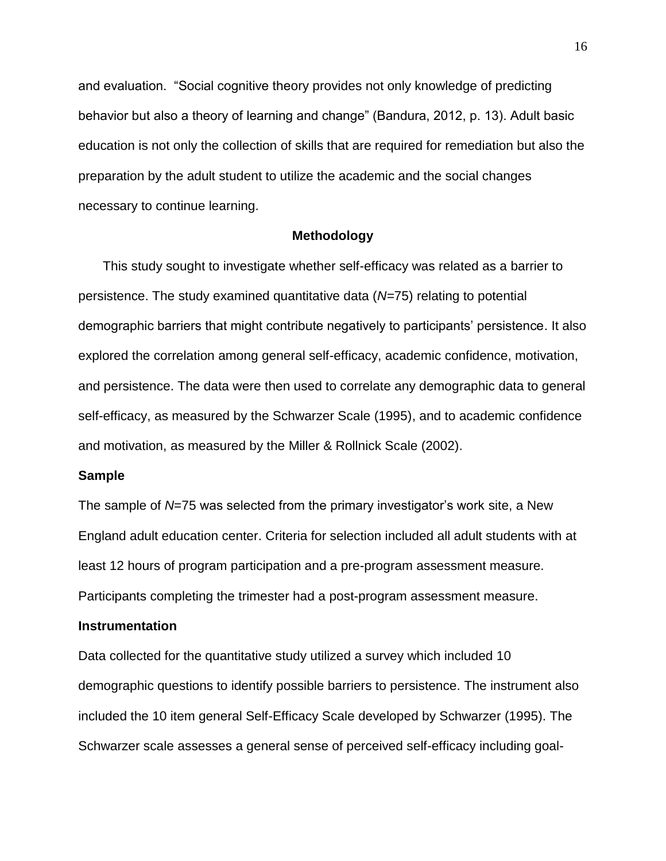and evaluation. "Social cognitive theory provides not only knowledge of predicting behavior but also a theory of learning and change" (Bandura, 2012, p. 13). Adult basic education is not only the collection of skills that are required for remediation but also the preparation by the adult student to utilize the academic and the social changes necessary to continue learning.

#### **Methodology**

This study sought to investigate whether self-efficacy was related as a barrier to persistence. The study examined quantitative data (*N=*75) relating to potential demographic barriers that might contribute negatively to participants' persistence. It also explored the correlation among general self-efficacy, academic confidence, motivation, and persistence. The data were then used to correlate any demographic data to general self-efficacy, as measured by the Schwarzer Scale (1995), and to academic confidence and motivation, as measured by the Miller & Rollnick Scale (2002).

#### **Sample**

The sample of *N*=75 was selected from the primary investigator's work site, a New England adult education center. Criteria for selection included all adult students with at least 12 hours of program participation and a pre-program assessment measure. Participants completing the trimester had a post-program assessment measure.

#### **Instrumentation**

Data collected for the quantitative study utilized a survey which included 10 demographic questions to identify possible barriers to persistence. The instrument also included the 10 item general Self-Efficacy Scale developed by Schwarzer (1995). The Schwarzer scale assesses a general sense of perceived self-efficacy including goal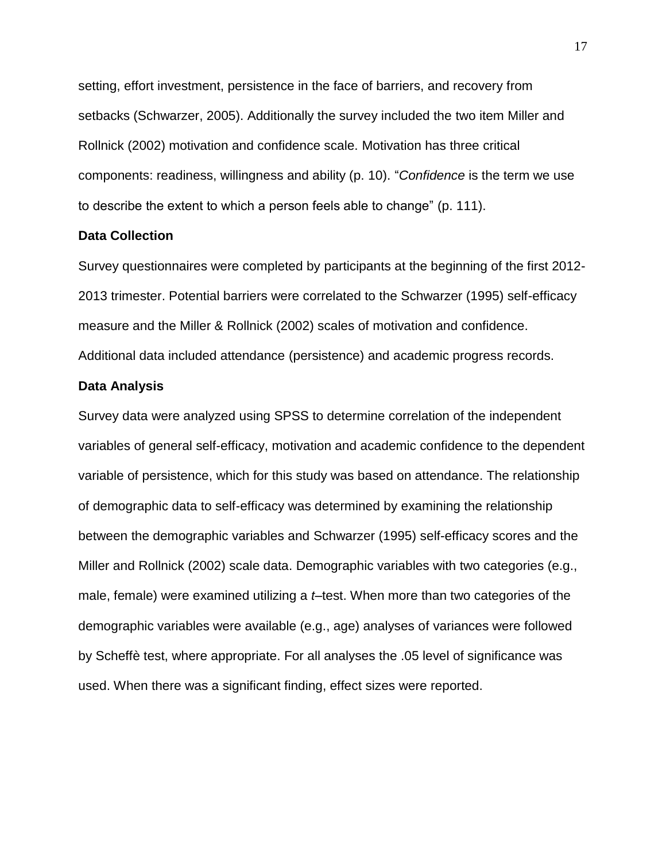setting, effort investment, persistence in the face of barriers, and recovery from setbacks (Schwarzer, 2005). Additionally the survey included the two item Miller and Rollnick (2002) motivation and confidence scale. Motivation has three critical components: readiness, willingness and ability (p. 10). "*Confidence* is the term we use to describe the extent to which a person feels able to change" (p. 111).

#### **Data Collection**

Survey questionnaires were completed by participants at the beginning of the first 2012- 2013 trimester. Potential barriers were correlated to the Schwarzer (1995) self-efficacy measure and the Miller & Rollnick (2002) scales of motivation and confidence. Additional data included attendance (persistence) and academic progress records.

#### **Data Analysis**

Survey data were analyzed using SPSS to determine correlation of the independent variables of general self-efficacy, motivation and academic confidence to the dependent variable of persistence, which for this study was based on attendance. The relationship of demographic data to self-efficacy was determined by examining the relationship between the demographic variables and Schwarzer (1995) self-efficacy scores and the Miller and Rollnick (2002) scale data. Demographic variables with two categories (e.g., male, female) were examined utilizing a *t*–test. When more than two categories of the demographic variables were available (e.g., age) analyses of variances were followed by Scheffè test, where appropriate. For all analyses the .05 level of significance was used. When there was a significant finding, effect sizes were reported.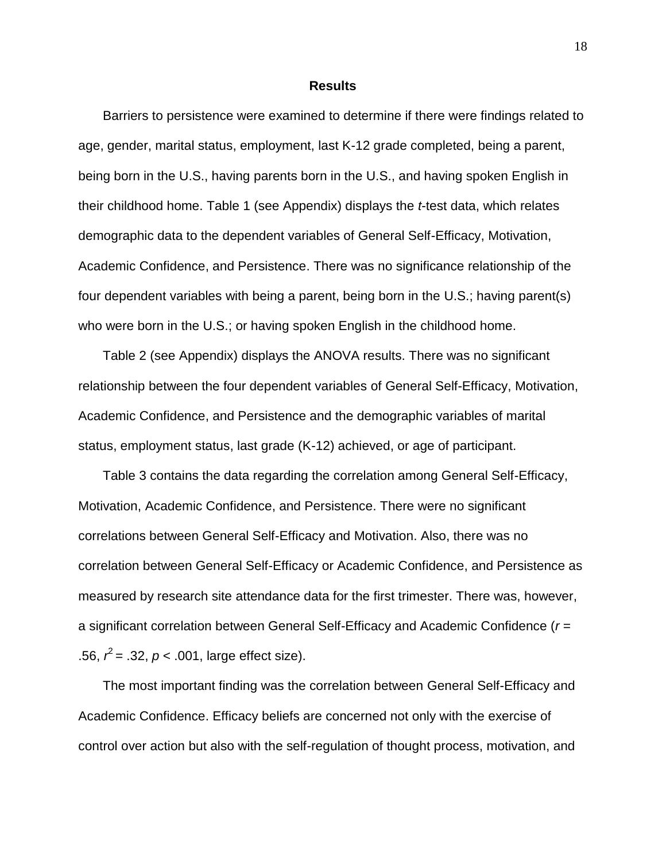#### **Results**

Barriers to persistence were examined to determine if there were findings related to age, gender, marital status, employment, last K-12 grade completed, being a parent, being born in the U.S., having parents born in the U.S., and having spoken English in their childhood home. Table 1 (see Appendix) displays the *t*-test data, which relates demographic data to the dependent variables of General Self-Efficacy, Motivation, Academic Confidence, and Persistence. There was no significance relationship of the four dependent variables with being a parent, being born in the U.S.; having parent(s) who were born in the U.S.; or having spoken English in the childhood home.

Table 2 (see Appendix) displays the ANOVA results. There was no significant relationship between the four dependent variables of General Self-Efficacy, Motivation, Academic Confidence, and Persistence and the demographic variables of marital status, employment status, last grade (K-12) achieved, or age of participant.

Table 3 contains the data regarding the correlation among General Self-Efficacy, Motivation, Academic Confidence, and Persistence. There were no significant correlations between General Self-Efficacy and Motivation. Also, there was no correlation between General Self-Efficacy or Academic Confidence, and Persistence as measured by research site attendance data for the first trimester. There was, however, a significant correlation between General Self-Efficacy and Academic Confidence (*r* = .56,  $r^2 = .32$ ,  $p < .001$ , large effect size).

The most important finding was the correlation between General Self-Efficacy and Academic Confidence. Efficacy beliefs are concerned not only with the exercise of control over action but also with the self-regulation of thought process, motivation, and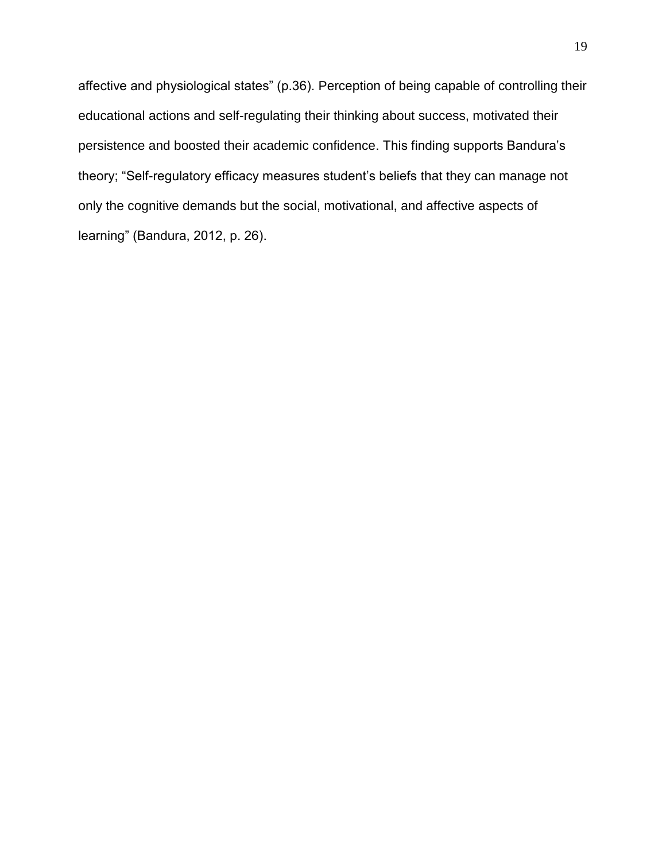affective and physiological states" (p.36). Perception of being capable of controlling their educational actions and self-regulating their thinking about success, motivated their persistence and boosted their academic confidence. This finding supports Bandura's theory; "Self-regulatory efficacy measures student's beliefs that they can manage not only the cognitive demands but the social, motivational, and affective aspects of learning" (Bandura, 2012, p. 26).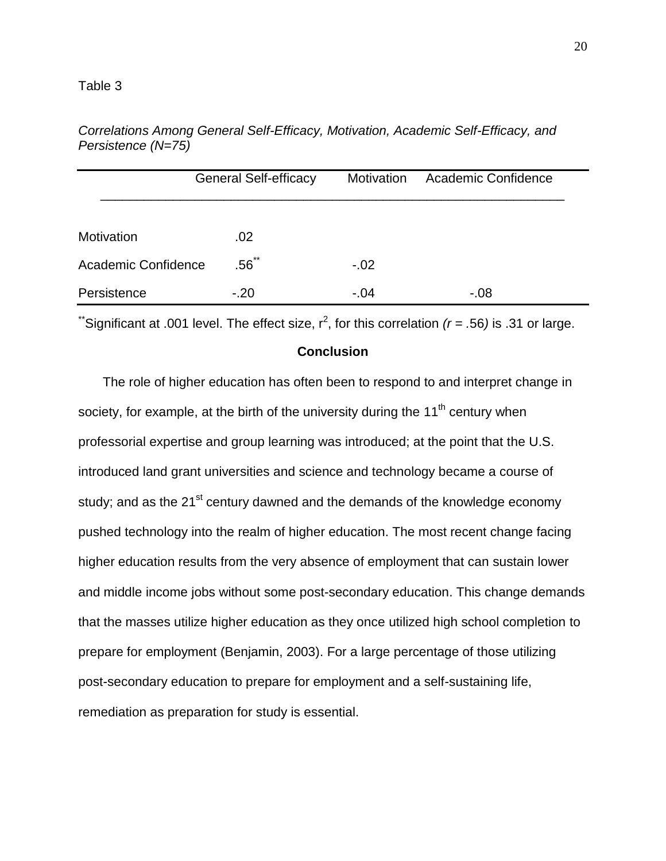|                            | <b>General Self-efficacy</b> | Motivation | <b>Academic Confidence</b> |
|----------------------------|------------------------------|------------|----------------------------|
|                            |                              |            |                            |
| Motivation                 | .02                          |            |                            |
| <b>Academic Confidence</b> | $.56$ **                     | $-.02$     |                            |
| Persistence                | $-.20$                       | $-.04$     | $-0.08$                    |

*Correlations Among General Self-Efficacy, Motivation, Academic Self-Efficacy, and Persistence (N=75)*

\*Significant at .001 level. The effect size,  $r^2$ , for this correlation  $(r = .56)$  is .31 or large.

#### **Conclusion**

The role of higher education has often been to respond to and interpret change in society, for example, at the birth of the university during the  $11<sup>th</sup>$  century when professorial expertise and group learning was introduced; at the point that the U.S. introduced land grant universities and science and technology became a course of study; and as the  $21^{st}$  century dawned and the demands of the knowledge economy pushed technology into the realm of higher education. The most recent change facing higher education results from the very absence of employment that can sustain lower and middle income jobs without some post-secondary education. This change demands that the masses utilize higher education as they once utilized high school completion to prepare for employment (Benjamin, 2003). For a large percentage of those utilizing post-secondary education to prepare for employment and a self-sustaining life, remediation as preparation for study is essential.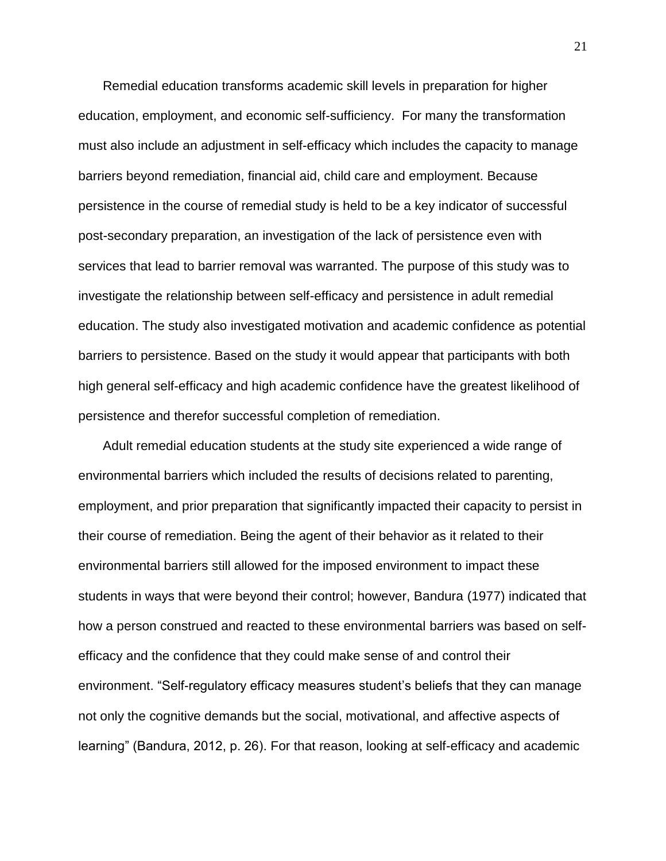Remedial education transforms academic skill levels in preparation for higher education, employment, and economic self-sufficiency. For many the transformation must also include an adjustment in self-efficacy which includes the capacity to manage barriers beyond remediation, financial aid, child care and employment. Because persistence in the course of remedial study is held to be a key indicator of successful post-secondary preparation, an investigation of the lack of persistence even with services that lead to barrier removal was warranted. The purpose of this study was to investigate the relationship between self-efficacy and persistence in adult remedial education. The study also investigated motivation and academic confidence as potential barriers to persistence. Based on the study it would appear that participants with both high general self-efficacy and high academic confidence have the greatest likelihood of persistence and therefor successful completion of remediation.

Adult remedial education students at the study site experienced a wide range of environmental barriers which included the results of decisions related to parenting, employment, and prior preparation that significantly impacted their capacity to persist in their course of remediation. Being the agent of their behavior as it related to their environmental barriers still allowed for the imposed environment to impact these students in ways that were beyond their control; however, Bandura (1977) indicated that how a person construed and reacted to these environmental barriers was based on selfefficacy and the confidence that they could make sense of and control their environment. "Self-regulatory efficacy measures student's beliefs that they can manage not only the cognitive demands but the social, motivational, and affective aspects of learning" (Bandura, 2012, p. 26). For that reason, looking at self-efficacy and academic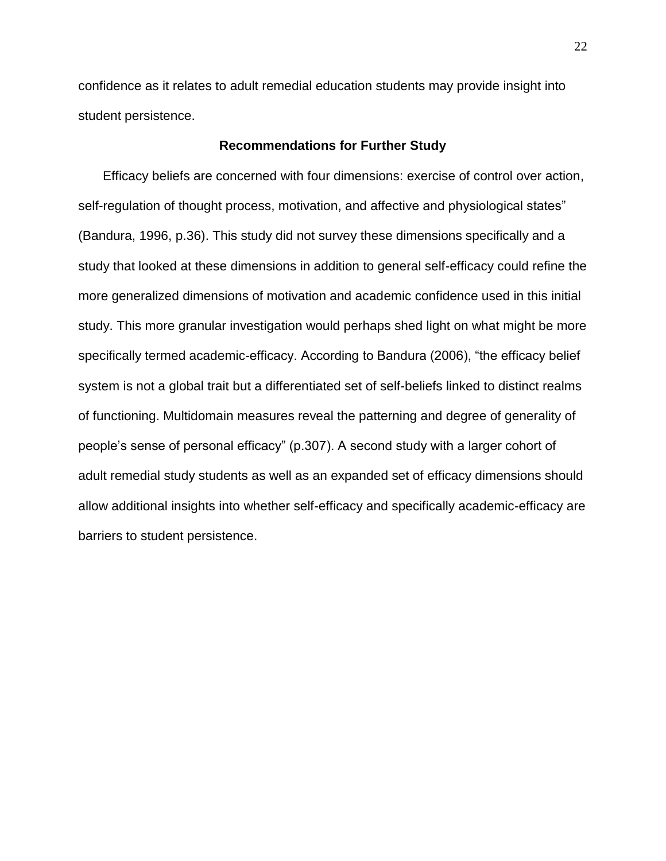confidence as it relates to adult remedial education students may provide insight into student persistence.

#### **Recommendations for Further Study**

Efficacy beliefs are concerned with four dimensions: exercise of control over action, self-regulation of thought process, motivation, and affective and physiological states" (Bandura, 1996, p.36). This study did not survey these dimensions specifically and a study that looked at these dimensions in addition to general self-efficacy could refine the more generalized dimensions of motivation and academic confidence used in this initial study. This more granular investigation would perhaps shed light on what might be more specifically termed academic-efficacy. According to Bandura (2006), "the efficacy belief system is not a global trait but a differentiated set of self-beliefs linked to distinct realms of functioning. Multidomain measures reveal the patterning and degree of generality of people's sense of personal efficacy" (p.307). A second study with a larger cohort of adult remedial study students as well as an expanded set of efficacy dimensions should allow additional insights into whether self-efficacy and specifically academic-efficacy are barriers to student persistence.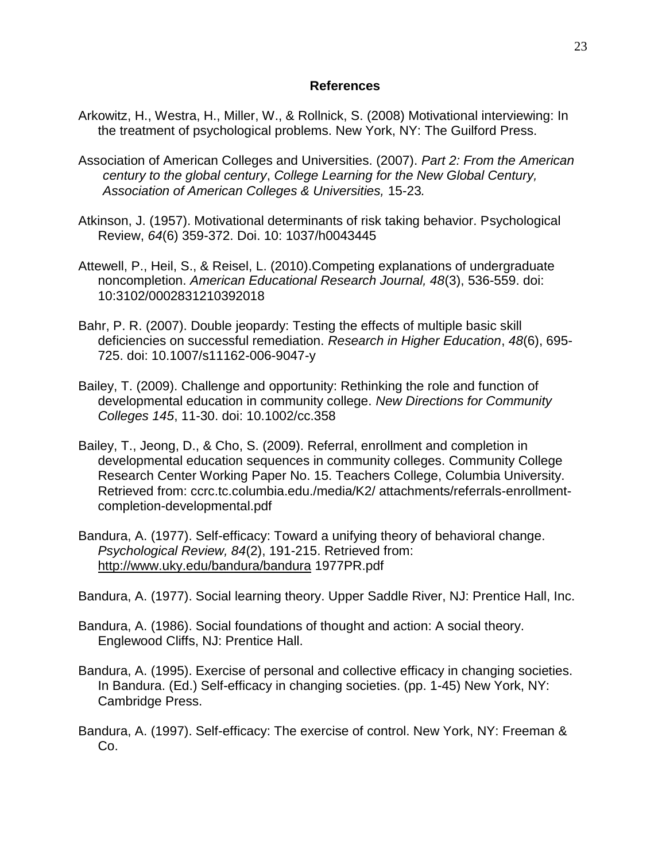#### **References**

- Arkowitz, H., Westra, H., Miller, W., & Rollnick, S. (2008) Motivational interviewing: In the treatment of psychological problems. New York, NY: The Guilford Press.
- Association of American Colleges and Universities. (2007). *Part 2: From the American century to the global century*, *College Learning for the New Global Century, Association of American Colleges & Universities,* 15-23*.*
- Atkinson, J. (1957). Motivational determinants of risk taking behavior. Psychological Review, *64*(6) 359-372. Doi. 10: 1037/h0043445
- Attewell, P., Heil, S., & Reisel, L. (2010).Competing explanations of undergraduate noncompletion. *American Educational Research Journal, 48*(3), 536-559. doi: 10:3102/0002831210392018
- Bahr, P. R. (2007). Double jeopardy: Testing the effects of multiple basic skill deficiencies on successful remediation. *Research in Higher Education*, *48*(6), 695- 725. doi: 10.1007/s11162-006-9047-y
- Bailey, T. (2009). Challenge and opportunity: Rethinking the role and function of developmental education in community college. *New Directions for Community Colleges 145*, 11-30. doi: 10.1002/cc.358
- Bailey, T., Jeong, D., & Cho, S. (2009). Referral, enrollment and completion in developmental education sequences in community colleges. Community College Research Center Working Paper No. 15. Teachers College, Columbia University. Retrieved from: ccrc.tc.columbia.edu./media/K2/ attachments/referrals-enrollmentcompletion-developmental.pdf
- Bandura, A. (1977). Self-efficacy: Toward a unifying theory of behavioral change. *Psychological Review, 84*(2), 191-215. Retrieved from: <http://www.uky.edu/bandura/bandura> 1977PR.pdf
- Bandura, A. (1977). Social learning theory. Upper Saddle River, NJ: Prentice Hall, Inc.
- Bandura, A. (1986). Social foundations of thought and action: A social theory. Englewood Cliffs, NJ: Prentice Hall.
- Bandura, A. (1995). Exercise of personal and collective efficacy in changing societies. In Bandura. (Ed.) Self-efficacy in changing societies. (pp. 1-45) New York, NY: Cambridge Press.
- Bandura, A. (1997). Self-efficacy: The exercise of control. New York, NY: Freeman & Co.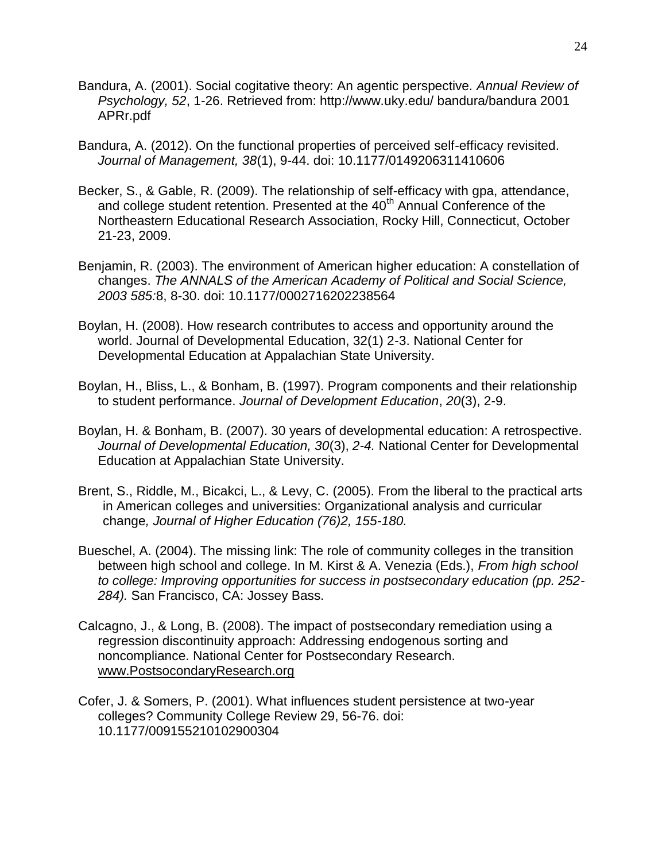- Bandura, A. (2001). Social cogitative theory: An agentic perspective. *Annual Review of Psychology, 52*, 1-26. Retrieved from: http://www.uky.edu/ bandura/bandura 2001 APRr.pdf
- Bandura, A. (2012). On the functional properties of perceived self-efficacy revisited. *Journal of Management, 38*(1), 9-44. doi: 10.1177/0149206311410606
- Becker, S., & Gable, R. (2009). The relationship of self-efficacy with gpa, attendance, and college student retention. Presented at the  $40<sup>th</sup>$  Annual Conference of the Northeastern Educational Research Association, Rocky Hill, Connecticut, October 21-23, 2009.
- Benjamin, R. (2003). The environment of American higher education: A constellation of changes. *The ANNALS of the American Academy of Political and Social Science, 2003 585:*8, 8-30. doi: 10.1177/0002716202238564
- Boylan, H. (2008). How research contributes to access and opportunity around the world. Journal of Developmental Education, 32(1) 2-3. National Center for Developmental Education at Appalachian State University.
- Boylan, H., Bliss, L., & Bonham, B. (1997). Program components and their relationship to student performance. *Journal of Development Education*, *20*(3), 2-9.
- Boylan, H. & Bonham, B. (2007). 30 years of developmental education: A retrospective. *Journal of Developmental Education, 30*(3), *2-4.* National Center for Developmental Education at Appalachian State University.
- Brent, S., Riddle, M., Bicakci, L., & Levy, C. (2005). From the liberal to the practical arts in American colleges and universities: Organizational analysis and curricular change*, Journal of Higher Education (76)2, 155-180.*
- Bueschel, A. (2004). The missing link: The role of community colleges in the transition between high school and college. In M. Kirst & A. Venezia (Eds.), *From high school to college: Improving opportunities for success in postsecondary education (pp. 252- 284).* San Francisco, CA: Jossey Bass.
- Calcagno, J., & Long, B. (2008). The impact of postsecondary remediation using a regression discontinuity approach: Addressing endogenous sorting and noncompliance. National Center for Postsecondary Research. [www.PostsocondaryResearch.org](http://www.postsocondaryresearch.org/)
- Cofer, J. & Somers, P. (2001). What influences student persistence at two-year colleges? Community College Review 29, 56-76. doi: 10.1177/009155210102900304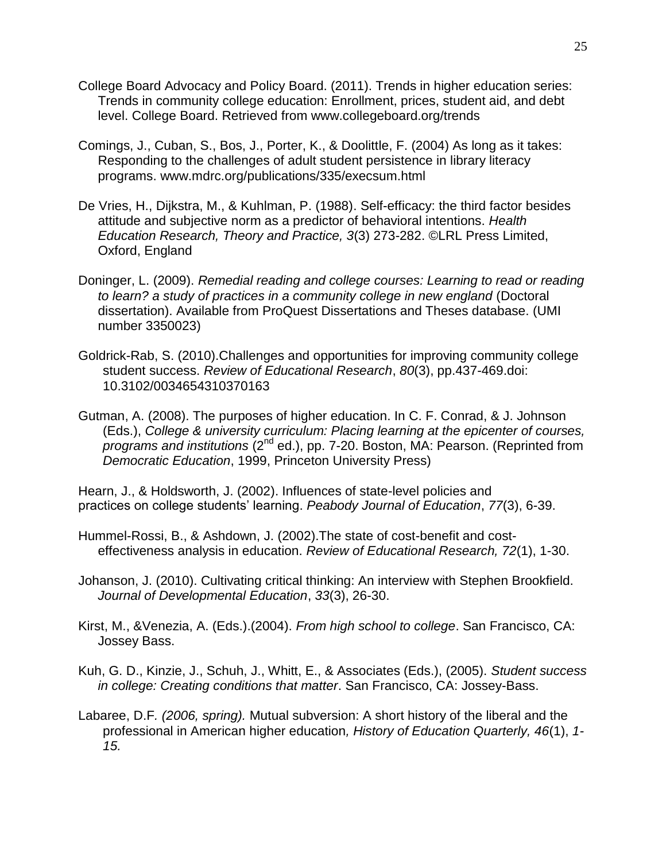- College Board Advocacy and Policy Board. (2011). Trends in higher education series: Trends in community college education: Enrollment, prices, student aid, and debt level. College Board. Retrieved from www.collegeboard.org/trends
- Comings, J., Cuban, S., Bos, J., Porter, K., & Doolittle, F. (2004) As long as it takes: Responding to the challenges of adult student persistence in library literacy programs. www.mdrc.org/publications/335/execsum.html
- De Vries, H., Dijkstra, M., & Kuhlman, P. (1988). Self-efficacy: the third factor besides attitude and subjective norm as a predictor of behavioral intentions. *Health Education Research, Theory and Practice, 3*(3) 273-282. ©LRL Press Limited, Oxford, England
- Doninger, L. (2009). *Remedial reading and college courses: Learning to read or reading to learn? a study of practices in a community college in new england* (Doctoral dissertation). Available from ProQuest Dissertations and Theses database. (UMI number 3350023)
- Goldrick-Rab, S. (2010).Challenges and opportunities for improving community college student success. *Review of Educational Research*, *80*(3), pp.437-469.doi: 10.3102/0034654310370163
- Gutman, A. (2008). The purposes of higher education. In C. F. Conrad, & J. Johnson (Eds.), *College & university curriculum: Placing learning at the epicenter of courses, programs and institutions* (2nd ed.), pp. 7-20. Boston, MA: Pearson. (Reprinted from *Democratic Education*, 1999, Princeton University Press)

Hearn, J., & Holdsworth, J. (2002). Influences of state-level policies and practices on college students' learning. *Peabody Journal of Education*, *77*(3), 6-39.

Hummel-Rossi, B., & Ashdown, J. (2002).The state of cost-benefit and costeffectiveness analysis in education. *Review of Educational Research, 72*(1), 1-30.

Johanson, J. (2010). Cultivating critical thinking: An interview with Stephen Brookfield. *Journal of Developmental Education*, *33*(3), 26-30.

- Kirst, M., &Venezia, A. (Eds.).(2004). *From high school to college*. San Francisco, CA: Jossey Bass.
- Kuh, G. D., Kinzie, J., Schuh, J., Whitt, E., & Associates (Eds.), (2005). *Student success in college: Creating conditions that matter*. San Francisco, CA: Jossey-Bass.
- Labaree, D.F*. (2006, spring).* Mutual subversion: A short history of the liberal and the professional in American higher education*, History of Education Quarterly, 46*(1), *1- 15.*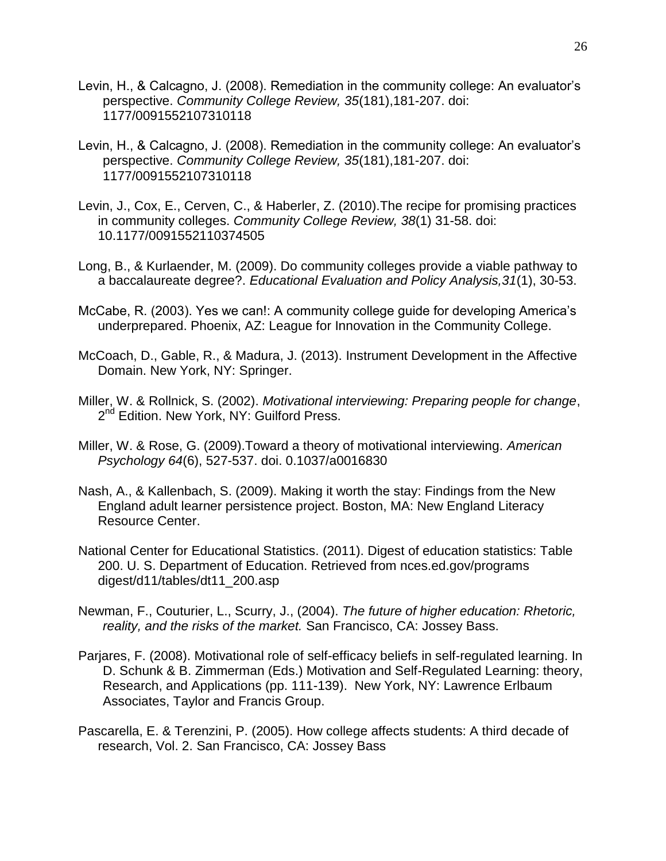- Levin, H., & Calcagno, J. (2008). Remediation in the community college: An evaluator's perspective. *Community College Review, 35*(181),181-207. doi: 1177/0091552107310118
- Levin, H., & Calcagno, J. (2008). Remediation in the community college: An evaluator's perspective. *Community College Review, 35*(181),181-207. doi: 1177/0091552107310118
- Levin, J., Cox, E., Cerven, C., & Haberler, Z. (2010).The recipe for promising practices in community colleges. *Community College Review, 38*(1) 31-58. doi: 10.1177/0091552110374505
- Long, B., & Kurlaender, M. (2009). Do community colleges provide a viable pathway to a baccalaureate degree?. *Educational Evaluation and Policy Analysis,31*(1), 30-53.
- McCabe, R. (2003). Yes we can!: A community college guide for developing America's underprepared. Phoenix, AZ: League for Innovation in the Community College.
- McCoach, D., Gable, R., & Madura, J. (2013). Instrument Development in the Affective Domain. New York, NY: Springer.
- Miller, W. & Rollnick, S. (2002). *Motivational interviewing: Preparing people for change*, 2<sup>nd</sup> Edition. New York, NY: Guilford Press.
- Miller, W. & Rose, G. (2009).Toward a theory of motivational interviewing. *American Psychology 64*(6), 527-537. doi. 0.1037/a0016830
- Nash, A., & Kallenbach, S. (2009). Making it worth the stay: Findings from the New England adult learner persistence project. Boston, MA: New England Literacy Resource Center.
- National Center for Educational Statistics. (2011). Digest of education statistics: Table 200. U. S. Department of Education. Retrieved from nces.ed.gov/programs digest/d11/tables/dt11\_200.asp
- Newman, F., Couturier, L., Scurry, J., (2004). *The future of higher education: Rhetoric, reality, and the risks of the market.* San Francisco, CA: Jossey Bass.
- Parjares, F. (2008). Motivational role of self-efficacy beliefs in self-regulated learning. In D. Schunk & B. Zimmerman (Eds.) Motivation and Self-Regulated Learning: theory, Research, and Applications (pp. 111-139). New York, NY: Lawrence Erlbaum Associates, Taylor and Francis Group.
- Pascarella, E. & Terenzini, P. (2005). How college affects students: A third decade of research, Vol. 2. San Francisco, CA: Jossey Bass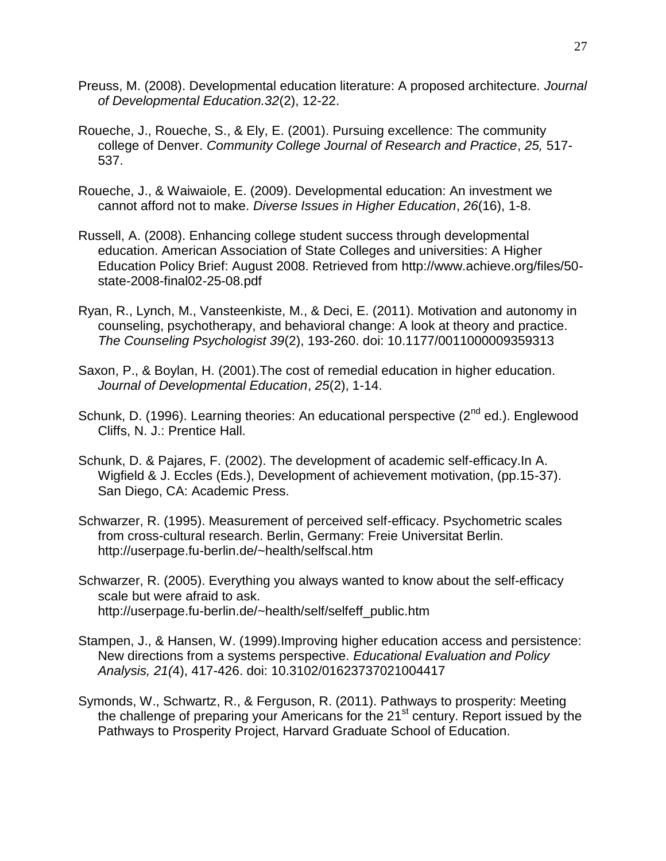- Preuss, M. (2008). Developmental education literature: A proposed architecture. *Journal of Developmental Education.32*(2), 12-22.
- Roueche, J., Roueche, S., & Ely, E. (2001). Pursuing excellence: The community college of Denver. *Community College Journal of Research and Practice*, *25,* 517- 537.
- Roueche, J., & Waiwaiole, E. (2009). Developmental education: An investment we cannot afford not to make. *Diverse Issues in Higher Education*, *26*(16), 1-8.
- Russell, A. (2008). Enhancing college student success through developmental education. American Association of State Colleges and universities: A Higher Education Policy Brief: August 2008. Retrieved from http://www.achieve.org/files/50 state-2008-final02-25-08.pdf
- Ryan, R., Lynch, M., Vansteenkiste, M., & Deci, E. (2011). Motivation and autonomy in counseling, psychotherapy, and behavioral change: A look at theory and practice. *The Counseling Psychologist 39*(2), 193-260. doi: 10.1177/0011000009359313
- Saxon, P., & Boylan, H. (2001).The cost of remedial education in higher education. *Journal of Developmental Education*, *25*(2), 1-14.
- Schunk, D. (1996). Learning theories: An educational perspective (2<sup>nd</sup> ed.). Englewood Cliffs, N. J.: Prentice Hall.
- Schunk, D. & Pajares, F. (2002). The development of academic self-efficacy.In A. Wigfield & J. Eccles (Eds.), Development of achievement motivation, (pp.15-37). San Diego, CA: Academic Press.
- Schwarzer, R. (1995). Measurement of perceived self-efficacy. Psychometric scales from cross-cultural research. Berlin, Germany: Freie Universitat Berlin. <http://userpage.fu-berlin.de/~health/selfscal.htm>
- Schwarzer, R. (2005). Everything you always wanted to know about the self-efficacy scale but were afraid to ask. [http://userpage.fu-berlin.de/~health/self/selfeff\\_public.htm](http://userpage.fu-berlin.de/~health/self/selfeff_public.htm)
- Stampen, J., & Hansen, W. (1999).Improving higher education access and persistence: New directions from a systems perspective. *Educational Evaluation and Policy Analysis, 21(*4), 417-426. doi: 10.3102/01623737021004417
- Symonds, W., Schwartz, R., & Ferguson, R. (2011). Pathways to prosperity: Meeting the challenge of preparing your Americans for the 21<sup>st</sup> century. Report issued by the Pathways to Prosperity Project, Harvard Graduate School of Education.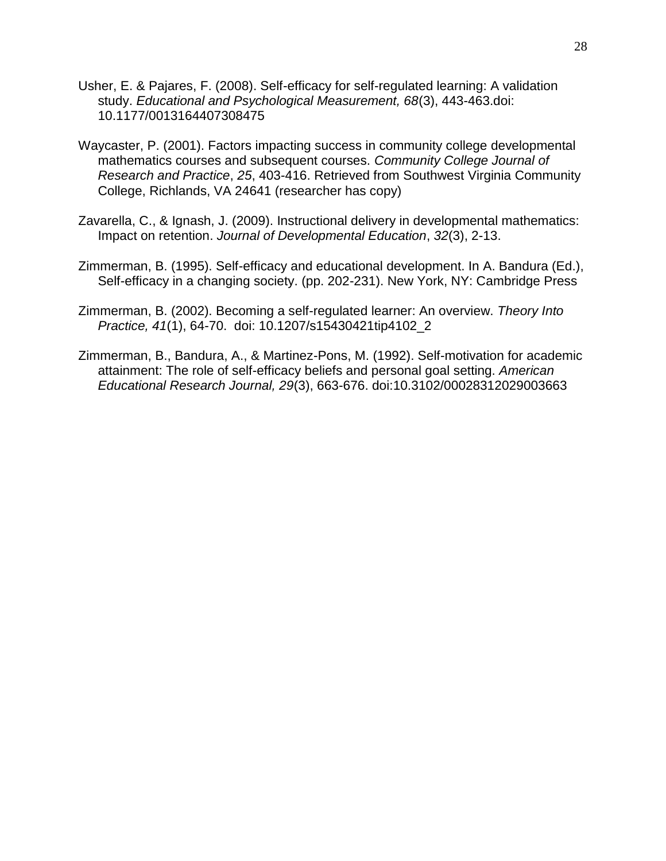- Usher, E. & Pajares, F. (2008). Self-efficacy for self-regulated learning: A validation study. *Educational and Psychological Measurement, 68*(3), 443-463.doi: 10.1177/0013164407308475
- Waycaster, P. (2001). Factors impacting success in community college developmental mathematics courses and subsequent courses. *Community College Journal of Research and Practice*, *25*, 403-416. Retrieved from Southwest Virginia Community College, Richlands, VA 24641 (researcher has copy)
- Zavarella, C., & Ignash, J. (2009). Instructional delivery in developmental mathematics: Impact on retention. *Journal of Developmental Education*, *32*(3), 2-13.
- Zimmerman, B. (1995). Self-efficacy and educational development. In A. Bandura (Ed.), Self-efficacy in a changing society. (pp. 202-231). New York, NY: Cambridge Press
- Zimmerman, B. (2002). Becoming a self-regulated learner: An overview. *Theory Into Practice, 41*(1), 64-70. doi: 10.1207/s15430421tip4102\_2
- Zimmerman, B., Bandura, A., & Martinez-Pons, M. (1992). Self-motivation for academic attainment: The role of self-efficacy beliefs and personal goal setting. *American Educational Research Journal, 29*(3), 663-676. doi:10.3102/00028312029003663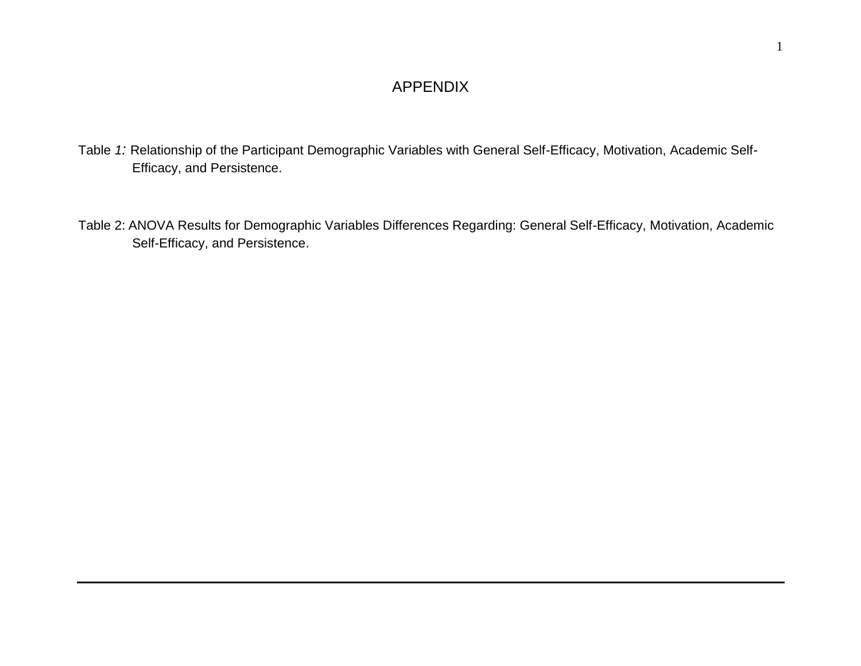# APPENDIX

- Table *1:* Relationship of the Participant Demographic Variables with General Self-Efficacy, Motivation, Academic Self-Efficacy, and Persistence.
- Table 2: ANOVA Results for Demographic Variables Differences Regarding: General Self-Efficacy, Motivation, Academic Self-Efficacy, and Persistence.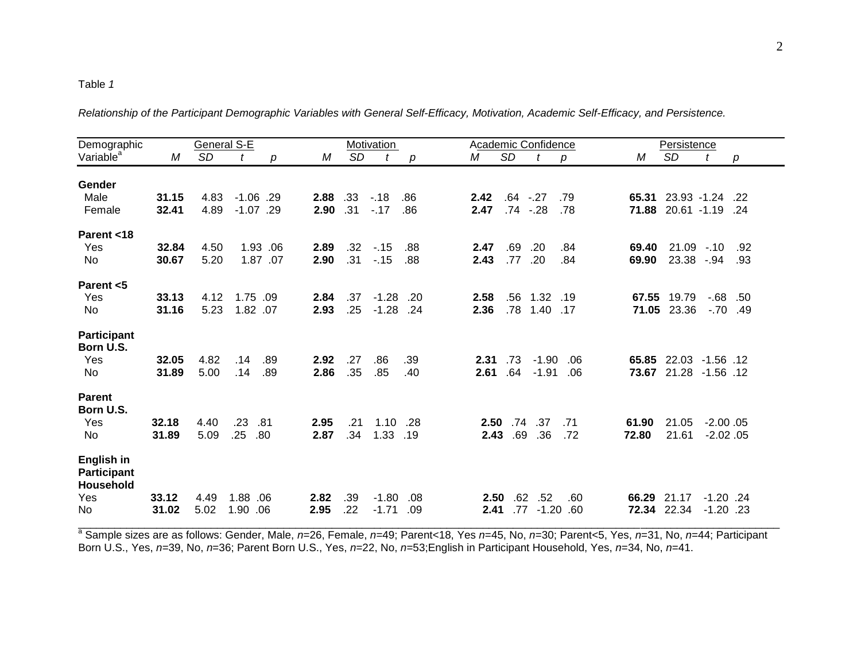#### Table *1*

Demographic General S-E Motivation Academic Confidence Persistence Variable<sup>a</sup>*M SD t p M SD t p M SD t p M SD t p*  **Gender** Male **31.15** 4.83 -1.06 .29 **2.88** .33 -.18 .86 **2.42** .64 -.27 .79 **65.31** 23.93 -1.24 .22 Female **32.41** 4.89 -1.07 .29 **2.90** .31 -.17 .86 **2.47** .74 -.28 .78 **71.88** 20.61 -1.19 .24 **Parent <18** Yes **32.84** 4.50 1.93 .06 **2.89** .32 -.15 .88 **2.47** .69 .20 .84 **69.40** 21.09 -.10 .92 No **30.67** 5.20 1.87 .07 **2.90** .31 -.15 .88 **2.43** .77 .20 .84 **69.90** 23.38 -.94 .93 **Parent <5** Yes **33.13** 4.12 1.75 .09 **2.84** .37 -1.28 .20 **2.58** .56 1.32 .19 **67.55** 19.79 -.68 .50 No **31.16** 5.23 1.82 .07 **2.93** .25 -1.28 .24 **2.36** .78 1.40 .17 **71.05** 23.36 -.70 .49 **Participant Born U.S.** Yes **32.05** 4.82 .14 .89 **2.92** .27 .86 .39 **2.31** .73 -1.90 .06 **65.85** 22.03 -1.56 .12 No **31.89** 5.00 .14 .89 **2.86** .35 .85 .40 **2.61** .64 -1.91 .06 **73.67** 21.28 -1.56 .12 **Parent Born U.S.** Yes **32.18** 4.40 .23 .81 **2.95** .21 1.10 .28 **2.50** .74 .37 .71 **61.90** 21.05 -2.00 .05 No **31.89** 5.09 .25 .80 **2.87** .34 1.33 .19 **2.43** .69 .36 .72 **72.80** 21.61 -2.02 .05 **English in Participant Household** Yes **33.12** 4.49 1.88 .06 **2.82** .39 -1.80 .08 **2.50** .62 .52 .60 **66.29** 21.17 -1.20 .24 No **31.02** 5.02 1.90 .06 **2.95** .22 -1.71 .09 **2.41** .77 -1.20 .60 **72.34** 22.34 -1.20 .23 \_\_\_\_\_\_\_\_\_\_\_\_\_\_\_\_\_\_\_\_\_\_\_\_\_\_\_\_\_\_\_\_\_\_\_\_\_\_\_\_\_\_\_\_\_\_\_\_\_\_\_\_\_\_\_\_\_\_\_\_\_\_\_\_\_\_\_\_\_\_\_\_\_\_\_\_\_\_\_\_\_\_\_\_\_\_\_\_\_\_\_\_\_\_\_\_\_\_\_\_\_\_\_\_\_\_\_\_\_\_\_\_\_\_\_\_

*Relationship of the Participant Demographic Variables with General Self-Efficacy, Motivation, Academic Self-Efficacy, and Persistence.*

a Sample sizes are as follows: Gender, Male, *n*=26, Female, *n=*49; Parent<18, Yes *n*=45, No, *n*=30; Parent<5, Yes, *n*=31, No, *n*=44; Participant Born U.S., Yes, *n*=39, No, *n*=36; Parent Born U.S., Yes, *n*=22, No, *n*=53;English in Participant Household, Yes, *n*=34, No, *n*=41.